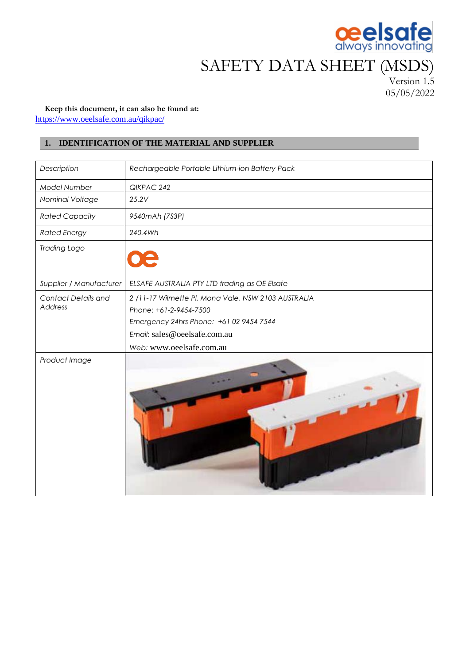

# SAFETY DATA SHEET (MSDS)

Version 1.5 05/05/2022

## **Keep this document, it can also be found at:** <https://www.oeelsafe.com.au/qikpac/>

# **1. IDENTIFICATION OF THE MATERIAL AND SUPPLIER**

| Description                | Rechargeable Portable Lithium-ion Battery Pack      |
|----------------------------|-----------------------------------------------------|
| Model Number               | QIKPAC 242                                          |
| Nominal Voltage            | 25.2V                                               |
| <b>Rated Capacity</b>      | 9540mAh (7S3P)                                      |
| <b>Rated Energy</b>        | 240.4Wh                                             |
| <b>Trading Logo</b>        |                                                     |
| Supplier / Manufacturer    | ELSAFE AUSTRALIA PTY LTD trading as OE Elsafe       |
| <b>Contact Details and</b> | 2 /11-17 Wilmette Pl, Mona Vale, NSW 2103 AUSTRALIA |
| Address                    | Phone: +61-2-9454-7500                              |
|                            | Emergency 24hrs Phone: +61 02 9454 7544             |
|                            | Email: sales@oeelsafe.com.au                        |
|                            | Web: www.oeelsafe.com.au                            |
| Product Image              |                                                     |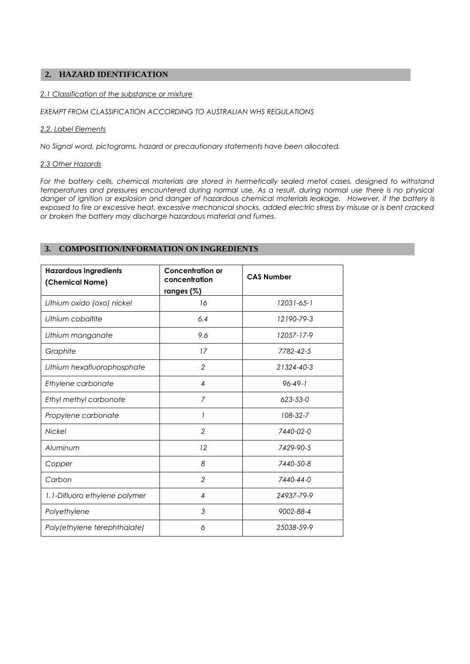# **2. HAZARD IDENTIFICATION**

### *2.1 Classification of the substance or mixture*

*EXEMPT FROM CLASSIFICATION ACCORDING TO AUSTRALIAN WHS REGULATIONS*

## *2.2. Label Elements*

*No Signal word, pictograms, hazard or precautionary statements have been allocated.* 

## *2.3 Other Hazards*

For the battery cells, chemical materials are stored in hermetically sealed metal cases, designed to withstand *temperatures and pressures encountered during normal use. As a result, during normal use there is no physical danger of ignition or explosion and danger of hazardous chemical materials leakage. However, if the battery is exposed to fire or excessive heat, excessive mechanical shocks, added electric stress by misuse or is bent cracked or broken the battery may discharge hazardous material and fumes.*

## **3. COMPOSITION/INFORMATION ON INGREDIENTS**

| <b>Hazardous Ingredients</b><br>(Chemical Name) | <b>Concentration or</b><br>concentration<br>ranges $(\%)$ | <b>CAS Number</b> |
|-------------------------------------------------|-----------------------------------------------------------|-------------------|
| Lithium oxido (oxo) nickel                      | 16                                                        | $12031 - 65 - 1$  |
| Lithium cobaltite                               | 6.4                                                       | 12190-79-3        |
| Lithium manganate                               | 9.6                                                       | 12057-17-9        |
| Graphite                                        | 17                                                        | 7782-42-5         |
| Lithium hexafluorophosphate                     | $\overline{2}$                                            | 21324-40-3        |
| Ethylene carbonate                              | 4                                                         | $96 - 49 - 1$     |
| Ethyl methyl carbonate                          | 7                                                         | 623-53-0          |
| Propylene carbonate                             | 1                                                         | 108-32-7          |
| <b>Nickel</b>                                   | $\overline{2}$                                            | 7440-02-0         |
| Aluminum                                        | 12                                                        | 7429-90-5         |
| Copper                                          | 8                                                         | 7440-50-8         |
| Carbon                                          | $\overline{2}$                                            | 7440-44-0         |
| 1.1-Difluoro ethylene polymer                   | 4                                                         | 24937-79-9        |
| Polyethylene                                    | 3                                                         | 9002-88-4         |
| Poly(ethylene terephthalate)                    | 6                                                         | 25038-59-9        |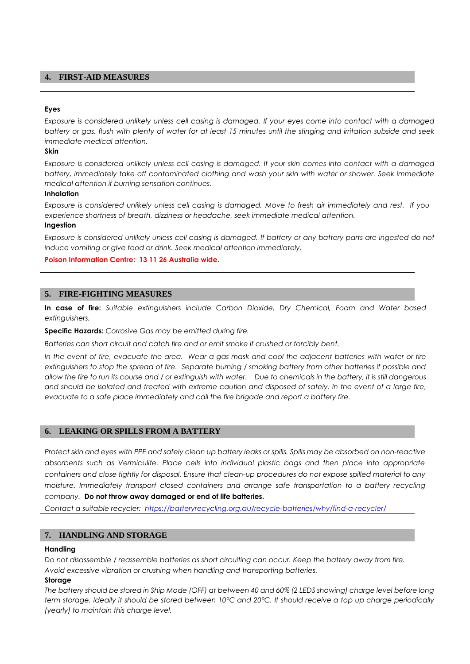## **4. FIRST-AID MEASURES**

### **Eyes**

*Exposure is considered unlikely unless cell casing is damaged. If your eyes come into contact with a damaged battery or gas, flush with plenty of water for at least 15 minutes until the stinging and irritation subside and seek immediate medical attention.*

## **Skin**

*Exposure is considered unlikely unless cell casing is damaged. If your skin comes into contact with a damaged battery, immediately take off contaminated clothing and wash your skin with water or shower. Seek immediate medical attention if burning sensation continues.*

### **Inhalation**

*Exposure is considered unlikely unless cell casing is damaged. Move to fresh air immediately and rest. If you experience shortness of breath, dizziness or headache, seek immediate medical attention.* **Ingestion**

*Exposure is considered unlikely unless cell casing is damaged. If battery or any battery parts are ingested do not induce vomiting or give food or drink. Seek medical attention immediately.*

### **Poison Information Centre: 13 11 26 Australia wide.**

## **5. FIRE-FIGHTING MEASURES**

**In case of fire:** *Suitable extinguishers include Carbon Dioxide, Dry Chemical, Foam and Water based extinguishers.* 

**Specific Hazards:** *Corrosive Gas may be emitted during fire.* 

*Batteries can short circuit and catch fire and or emit smoke if crushed or forcibly bent.* 

*In the event of fire, evacuate the area. Wear a gas mask and cool the adjacent batteries with water or fire extinguishers to stop the spread of fire. Separate burning / smoking battery from other batteries if possible and allow the fire to run its course and / or extinguish with water. Due to chemicals in the battery, it is still dangerous and should be isolated and treated with extreme caution and disposed of safely. In the event of a large fire, evacuate to a safe place immediately and call the fire brigade and report a battery fire.* 

## **6. LEAKING OR SPILLS FROM A BATTERY**

*Protect skin and eyes with PPE and safely clean up battery leaks or spills. Spills may be absorbed on non-reactive absorbents such as Vermiculite. Place cells into individual plastic bags and then place into appropriate containers and close tightly for disposal. Ensure that clean-up procedures do not expose spilled material to any moisture. Immediately transport closed containers and arrange safe transportation to a battery recycling company.* **Do not throw away damaged or end of life batteries.**

*Contact a suitable recycler:<https://batteryrecycling.org.au/recycle-batteries/why/find-a-recycler/>*

# **7. HANDLING AND STORAGE**

### **Handling**

*Do not disassemble / reassemble batteries as short circuiting can occur. Keep the battery away from fire. Avoid excessive vibration or crushing when handling and transporting batteries.*

#### **Storage**

*The battery should be stored in Ship Mode (OFF) at between 40 and 60% (2 LEDS showing) charge level before long term storage. Ideally it should be stored between 10°C and 20°C. It should receive a top up charge periodically (yearly) to maintain this charge level.*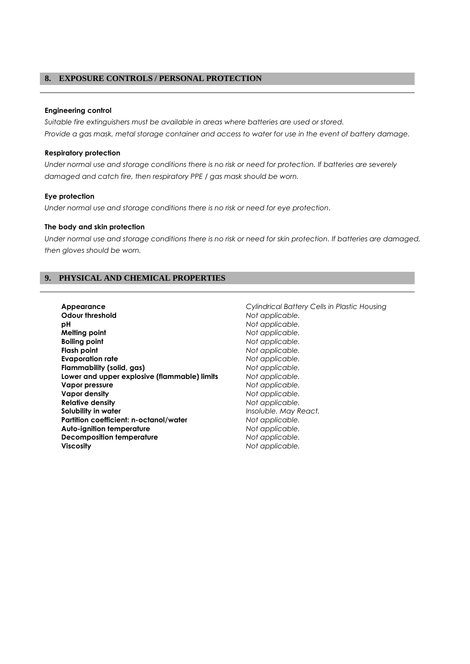## **8. EXPOSURE CONTROLS / PERSONAL PROTECTION**

### **Engineering control**

*Suitable fire extinguishers must be available in areas where batteries are used or stored. Provide a gas mask, metal storage container and access to water for use in the event of battery damage.* 

## **Respiratory protection**

*Under normal use and storage conditions there is no risk or need for protection. If batteries are severely damaged and catch fire, then respiratory PPE / gas mask should be worn.* 

## **Eye protection**

*Under normal use and storage conditions there is no risk or need for eye protection.*

## **The body and skin protection**

*Under normal use and storage conditions there is no risk or need for skin protection. If batteries are damaged, then gloves should be worn.* 

## **9. PHYSICAL AND CHEMICAL PROPERTIES**

- **Appearance** *Cylindrical Battery Cells in Plastic Housing* **Odour threshold** *Not applicable.* **pH** *Not applicable.*  **Boiling point** *Not applicable.* **Flash point** *Not applicable.*  **Evaporation rate** *Not applicable.*  **Flammability (solid, gas) Lower and upper explosive (flammable) limits** *Not applicable.*  **Vapor pressure** *Not applicable.*  **Vapor density** *Not applicable.*  **Relative density** *Not applicable.*  **Solubility in water** *Insoluble. May React.*  **Partition coefficient: n-octanol/water** *Not applicable.* **Auto-ignition temperature** *Not applicable.*  **Decomposition temperature** *Not applicable.*  **Viscosity** *Not applicable.* 
	- *Not applicable.*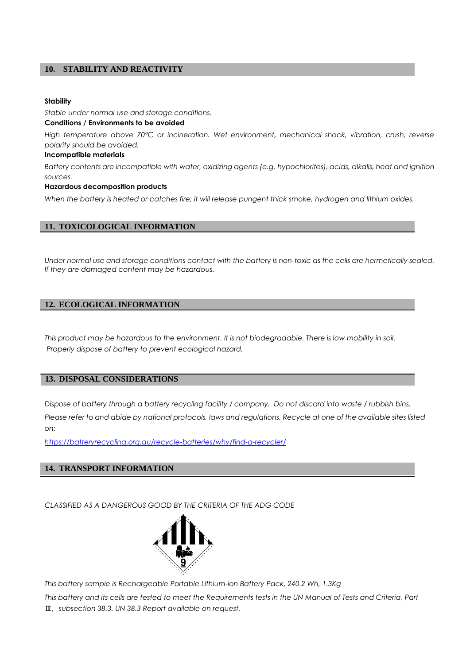## **10. STABILITY AND REACTIVITY**

#### **Stability**

*Stable under normal use and storage conditions.*

#### **Conditions / Environments to be avoided**

*High temperature above 70°C or incineration. Wet environment, mechanical shock, vibration, crush, reverse polarity should be avoided.*

### **Incompatible materials**

*Battery contents are incompatible with water, oxidizing agents (e.g. hypochlorites), acids, alkalis, heat and ignition sources.* 

#### **Hazardous decomposition products**

*When the battery is heated or catches fire, it will release pungent thick smoke, hydrogen and lithium oxides.* 

## **11. TOXICOLOGICAL INFORMATION**

*Under normal use and storage conditions contact with the battery is non-toxic as the cells are hermetically sealed. If they are damaged content may be hazardous.* 

## **12. ECOLOGICAL INFORMATION**

*This product may be hazardous to the environment. It is not biodegradable. There is low mobility in soil. Properly dispose of battery to prevent ecological hazard.*

## **13. DISPOSAL CONSIDERATIONS**

*Dispose of battery through a battery recycling facility / company. Do not discard into waste / rubbish bins. Please refer to and abide by national protocols, laws and regulations. Recycle at one of the available sites listed on:*

*<https://batteryrecycling.org.au/recycle-batteries/why/find-a-recycler/>*

## **14. TRANSPORT INFORMATION**

*CLASSIFIED AS A DANGEROUS GOOD BY THE CRITERIA OF THE ADG CODE*



*This battery sample is Rechargeable Portable Lithium-ion Battery Pack, 240.2 Wh, 1.3Kg*

*This battery and its cells are tested to meet the Requirements tests in the UN Manual of Tests and Criteria, Part*  Ⅲ, *subsection 38.3. UN 38.3 Report available on request.*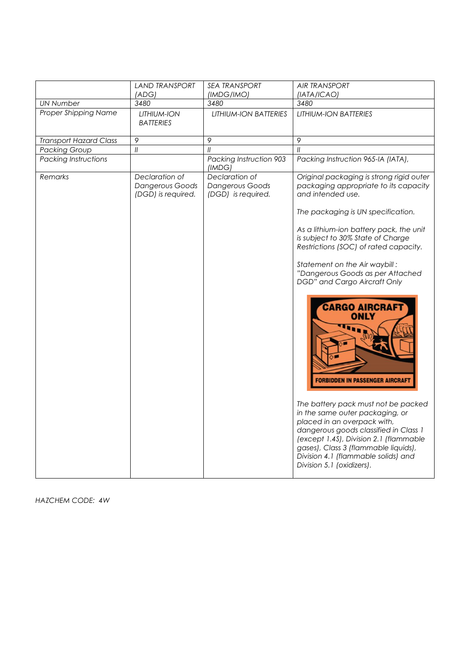| 3480<br>3480<br>3480<br><b>UN Number</b><br>Proper Shipping Name<br><b>LITHIUM-ION BATTERIES</b><br>LITHIUM-ION<br><b>LITHIUM-ION BATTERIES</b><br><b>BATTERIES</b><br>$\circ$<br>$\circ$<br>$\varphi$<br><b>Transport Hazard Class</b><br>$\ensuremath{\mathit{II}}$<br>$\mathcal{U}$<br>$\mathcal{U}$<br><b>Packing Group</b><br>Packing Instruction 903<br>Packing Instruction 965-IA (IATA),<br><b>Packing Instructions</b><br>(IMDG)<br>Remarks<br>Declaration of<br>Declaration of<br>Dangerous Goods<br>Dangerous Goods<br>and intended use.<br>(DGD) is required.<br>(DGD) is required.<br>The packaging is UN specification.<br>As a lithium-ion battery pack, the unit<br>is subject to 30% State of Charge<br>Restrictions (SOC) of rated capacity.<br>Statement on the Air waybill:<br>"Dangerous Goods as per Attached<br><b>DGD</b> " and Cargo Aircraft Only<br><b>CARGO AIRCRAFT</b><br><b>ONLY</b><br><b>FORBIDDEN IN PASSENGER AIRCRAFT</b> | <b>LAND TRANSPORT</b><br>(ADG) | <b>SEA TRANSPORT</b> | <b>AIR TRANSPORT</b>                                                                                                                                        |
|---------------------------------------------------------------------------------------------------------------------------------------------------------------------------------------------------------------------------------------------------------------------------------------------------------------------------------------------------------------------------------------------------------------------------------------------------------------------------------------------------------------------------------------------------------------------------------------------------------------------------------------------------------------------------------------------------------------------------------------------------------------------------------------------------------------------------------------------------------------------------------------------------------------------------------------------------------------|--------------------------------|----------------------|-------------------------------------------------------------------------------------------------------------------------------------------------------------|
|                                                                                                                                                                                                                                                                                                                                                                                                                                                                                                                                                                                                                                                                                                                                                                                                                                                                                                                                                               |                                | (IMDG/IMO)           | (IATA/ICAO)                                                                                                                                                 |
|                                                                                                                                                                                                                                                                                                                                                                                                                                                                                                                                                                                                                                                                                                                                                                                                                                                                                                                                                               |                                |                      |                                                                                                                                                             |
|                                                                                                                                                                                                                                                                                                                                                                                                                                                                                                                                                                                                                                                                                                                                                                                                                                                                                                                                                               |                                |                      |                                                                                                                                                             |
|                                                                                                                                                                                                                                                                                                                                                                                                                                                                                                                                                                                                                                                                                                                                                                                                                                                                                                                                                               |                                |                      |                                                                                                                                                             |
|                                                                                                                                                                                                                                                                                                                                                                                                                                                                                                                                                                                                                                                                                                                                                                                                                                                                                                                                                               |                                |                      |                                                                                                                                                             |
| placed in an overpack with,<br>dangerous goods classified in Class 1<br>(except 1.4S), Division 2.1 (flammable<br>gases), Class 3 (flammable liquids),<br>Division 4.1 (flammable solids) and                                                                                                                                                                                                                                                                                                                                                                                                                                                                                                                                                                                                                                                                                                                                                                 |                                |                      | Original packaging is strong rigid outer<br>packaging appropriate to its capacity<br>The battery pack must not be packed<br>in the same outer packaging, or |

*HAZCHEM CODE: 4W*